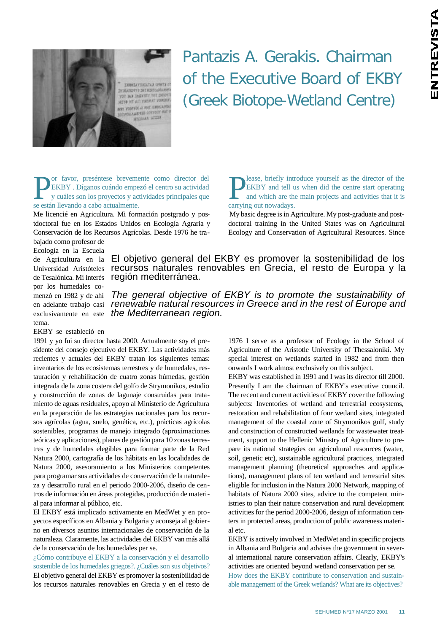

Pantazis A. Gerakis. Chairman of the Executive Board of EKBY (Greek Biotope-Wetland Centre)

**P**or favor, preséntese brevement están llevando a cabo actualmente.<br>Se están llevando a cabo actualmente. or favor, preséntese brevemente como director del EKBY . Díganos cuándo empezó el centro su actividad y cuáles son los proyectos y actividades principales que

Me licencié en Agricultura. Mi formación postgrado y postdoctoral fue en los Estados Unidos en Ecología Agraria y Conservación de los Recursos Agrícolas. Desde 1976 he tra**D** lease, briefly introduced by EKBY and tell us and which are the carrying out nowadays. lease, briefly introduce yourself as the director of the EKBY and tell us when did the centre start operating and which are the main projects and activities that it is

My basic degree is in Agriculture. My post-graduate and postdoctoral training in the United States was on Agricultural Ecology and Conservation of Agricultural Resources. Since

bajado como profesor de Ecología en la Escuela de Agricultura en la Universidad Aristóteles de Tesalónica. Mi interés por los humedales comenzó en 1982 y de ahí en adelante trabajo casi exclusivamente en este tema.

EKBY se estableció en

1991 y yo fui su director hasta 2000. Actualmente soy el presidente del consejo ejecutivo del EKBY. Las actividades más recientes y actuales del EKBY tratan los siguientes temas: inventarios de los ecosistemas terrestres y de humedales, restauración y rehabilitación de cuatro zonas húmedas, gestión integrada de la zona costera del golfo de Strymonikos, estudio y construcción de zonas de lagunaje construidas para tratamiento de aguas residuales, apoyo al Ministerio de Agricultura en la preparación de las estrategias nacionales para los recursos agrícolas (agua, suelo, genética, etc.), prácticas agrícolas sostenibles, programas de manejo integrado (aproximaciones teóricas y aplicaciones), planes de gestión para 10 zonas terrestres y de humedales elegibles para formar parte de la Red Natura 2000, cartografía de los hábitats en las localidades de Natura 2000, asesoramiento a los Ministerios competentes para programar sus actividades de conservación de la naturaleza y desarrollo rural en el periodo 2000-2006, diseño de centros de información en áreas protegidas, producción de material para informar al público, etc.

El EKBY está implicado activamente en MedWet y en proyectos específicos en Albania y Bulgaria y aconseja al gobierno en diversos asuntos internacionales de conservación de la naturaleza. Claramente, las actividades del EKBY van más allá de la conservación de los humedales per se.

¿Cómo contribuye el EKBY a la conservación y el desarrollo sostenible de los humedales griegos?. ¿Cuáles son sus objetivos? El objetivo general del EKBY es promover la sostenibilidad de los recursos naturales renovables en Grecia y en el resto de

El objetivo general del EKBY es promover la sostenibilidad de los recursos naturales renovables en Grecia, el resto de Europa y la región mediterránea.

*The general objective of EKBY is to promote the sustainability of renewable natural resources in Greece and in the rest of Europe and the Mediterranean region.*

> 1976 I serve as a professor of Ecology in the School of Agriculture of the Aristotle University of Thessaloniki. My special interest on wetlands started in 1982 and from then onwards I work almost exclusively on this subject.

> EKBY was established in 1991 and I was its director till 2000. Presently I am the chairman of EKBY's executive council. The recent and current activities of EKBY cover the following subjects: Inventories of wetland and terrestrial ecosystems, restoration and rehabilitation of four wetland sites, integrated management of the coastal zone of Strymonikos gulf, study and construction of constructed wetlands for wastewater treatment, support to the Hellenic Ministry of Agriculture to prepare its national strategies on agricultural resources (water, soil, genetic etc), sustainable agricultural practices, integrated management planning (theoretical approaches and applications), management plans of ten wetland and terrestrial sites eligible for inclusion in the Natura 2000 Network, mapping of habitats of Natura 2000 sites, advice to the competent ministries to plan their nature conservation and rural development activities for the period 2000-2006, design of information centers in protected areas, production of public awareness material etc.

> EKBY is actively involved in MedWet and in specific projects in Albania and Bulgaria and advises the government in several international nature conservation affairs. Clearly, EKBY's activities are oriented beyond wetland conservation per se. How does the EKBY contribute to conservation and sustainable management of the Greek wetlands? What are its objectives?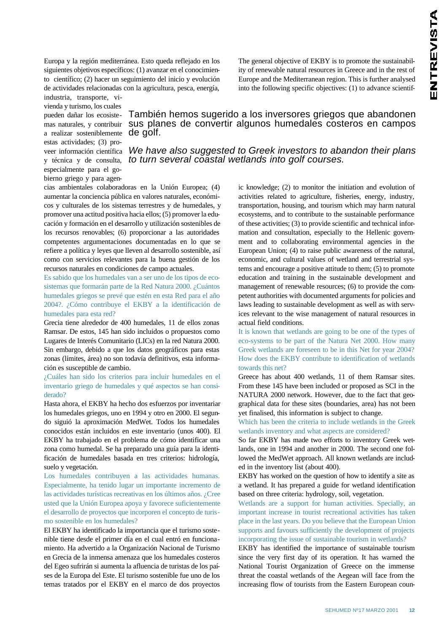Europa y la región mediterránea. Esto queda reflejado en los siguientes objetivos específicos: (1) avanzar en el conocimiento científico; (2) hacer un seguimiento del inicio y evolución de actividades relacionadas con la agricultura, pesca, energía, The general objective of EKBY is to promote the sustainability of renewable natural resources in Greece and in the rest of Europe and the Mediterranean region. This is further analysed into the following specific objectives: (1) to advance scientif-

industria, transporte, vivienda y turismo, los cuales pueden dañar los ecosistemas naturales, y contribuir a realizar sosteniblemente estas actividades; (3) proveer información científica y técnica y de consulta, especialmente para el gobierno griego y para agen-

## También hemos sugerido a los inversores griegos que abandonen sus planes de convertir algunos humedales costeros en campos de golf.

*We have also suggested to Greek investors to abandon their plans to turn several coastal wetlands into golf courses.*

cias ambientales colaboradoras en la Unión Europea; (4) aumentar la conciencia pública en valores naturales, económicos y culturales de los sistemas terrestres y de humedales, y promover una actitud positiva hacia ellos; (5) promover la educación y formación en el desarrollo y utilización sostenibles de los recursos renovables; (6) proporcionar a las autoridades competentes argumentaciones documentadas en lo que se refiere a política y leyes que lleven al desarrollo sostenible, así como con servicios relevantes para la buena gestión de los recursos naturales en condiciones de campo actuales.

Es sabido que los humedales van a ser uno de los tipos de ecosistemas que formarán parte de la Red Natura 2000. ¿Cuántos humedales griegos se prevé que estén en esta Red para el año 2004?. ¿Cómo contribuye el EKBY a la identificación de humedales para esta red?

Grecia tiene alrededor de 400 humedales, 11 de ellos zonas Ramsar. De estos, 145 han sido incluidos o propuestos como Lugares de Interés Comunitario (LICs) en la red Natura 2000. Sin embargo, debido a que los datos geográficos para estas zonas (límites, área) no son todavía definitivos, esta información es susceptible de cambio.

¿Cuáles han sido los criterios para incluir humedales en el inventario griego de humedales y qué aspectos se han considerado?

Hasta ahora, el EKBY ha hecho dos esfuerzos por inventariar los humedales griegos, uno en 1994 y otro en 2000. El segundo siguió la aproximación MedWet. Todos los humedales conocidos están incluidos en este inventario (unos 400). El EKBY ha trabajado en el problema de cómo identificar una zona como humedal. Se ha preparado una guía para la identificación de humedales basada en tres criterios: hidrología, suelo y vegetación.

Los humedales contribuyen a las actividades humanas. Especialmente, ha tenido lugar un importante incremento de las actividades turísticas recreativas en los últimos años. ¿Cree usted que la Unión Europea apoya y favorece suficientemente el desarrollo de proyectos que incorporen el concepto de turismo sostenible en los humedales?

El EKBY ha identificado la importancia que el turismo sostenible tiene desde el primer día en el cual entró en funcionamiento. Ha advertido a la Organización Nacional de Turismo en Grecia de la inmensa amenaza que los humedales costeros del Egeo sufrirán si aumenta la afluencia de turistas de los países de la Europa del Este. El turismo sostenible fue uno de los temas tratados por el EKBY en el marco de dos proyectos

ic knowledge; (2) to monitor the initiation and evolution of activities related to agriculture, fisheries, energy, industry, transportation, housing, and tourism which may harm natural ecosystems, and to contribute to the sustainable performance of these activities; (3) to provide scientific and technical information and consultation, especially to the Hellenic government and to collaborating environmental agencies in the European Union; (4) to raise public awareness of the natural, economic, and cultural values of wetland and terrestrial systems and encourage a positive attitude to them; (5) to promote education and training in the sustainable development and management of renewable resources; (6) to provide the competent authorities with documented arguments for policies and laws leading to sustainable development as well as with services relevant to the wise management of natural resources in actual field conditions.

It is known that wetlands are going to be one of the types of eco-systems to be part of the Natura Net 2000. How many Greek wetlands are foreseen to be in this Net for year 2004? How does the EKBY contribute to identification of wetlands towards this net?

Greece has about 400 wetlands, 11 of them Ramsar sites. From these 145 have been included or proposed as SCI in the NATURA 2000 network. However, due to the fact that geographical data for these sites (boundaries, area) has not been yet finalised, this information is subject to change.

Which has been the criteria to include wetlands in the Greek wetlands inventory and what aspects are considered?

So far EKBY has made two efforts to inventory Greek wetlands, one in 1994 and another in 2000. The second one followed the MedWet approach. All known wetlands are included in the inventory list (about 400).

EKBY has worked on the question of how to identify a site as a wetland. It has prepared a guide for wetland identification based on three criteria: hydrology, soil, vegetation.

Wetlands are a support for human activities. Specially, an important increase in tourist recreational activities has taken place in the last years. Do you believe that the European Union supports and favours sufficiently the development of projects incorporating the issue of sustainable tourism in wetlands?

EKBY has identified the importance of sustainable tourism since the very first day of its operation. It has warned the National Tourist Organization of Greece on the immense threat the coastal wetlands of the Aegean will face from the increasing flow of tourists from the Eastern European coun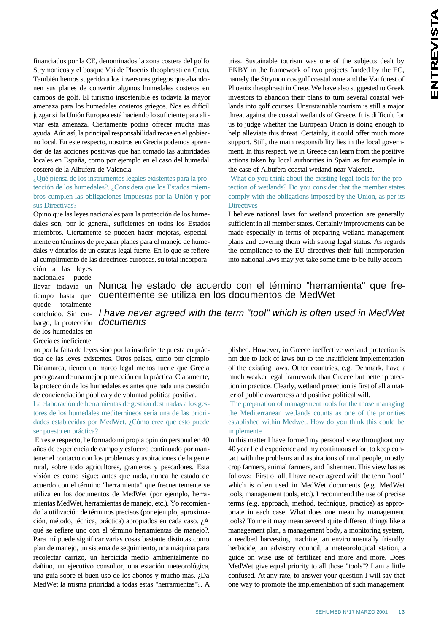financiados por la CE, denominados la zona costera del golfo Strymonicos y el bosque Vai de Phoenix theophrasti en Creta. También hemos sugerido a los inversores griegos que abandonen sus planes de convertir algunos humedales costeros en campos de golf. El turismo insostenible es todavía la mayor amenaza para los humedales costeros griegos. Nos es difícil juzgar si la Unión Europea está haciendo lo suficiente para aliviar esta amenaza. Ciertamente podría ofrecer mucha más ayuda. Aún así, la principal responsabilidad recae en el gobierno local. En este respecto, nosotros en Grecia podemos aprender de las acciones positivas que han tomado las autoridades locales en España, como por ejemplo en el caso del humedal costero de la Albufera de Valencia.

¿Qué piensa de los instrumentos legales existentes para la protección de los humedales?. ¿Considera que los Estados miembros cumplen las obligaciones impuestas por la Unión y por sus Directivas?

Opino que las leyes nacionales para la protección de los humedales son, por lo general, suficientes en todos los Estados miembros. Ciertamente se pueden hacer mejoras, especialmente en términos de preparar planes para el manejo de humedales y dotarlos de un estatus legal fuerte. En lo que se refiere al cumplimiento de las directrices europeas, su total incorporatries. Sustainable tourism was one of the subjects dealt by EKBY in the framework of two projects funded by the EC, namely the Strymonicos gulf coastal zone and the Vai forest of Phoenix theophrasti in Crete. We have also suggested to Greek investors to abandon their plans to turn several coastal wetlands into golf courses. Unsustainable tourism is still a major threat against the coastal wetlands of Greece. It is difficult for us to judge whether the European Union is doing enough to help alleviate this threat. Certainly, it could offer much more support. Still, the main responsibility lies in the local government. In this respect, we in Greece can learn from the positive actions taken by local authorities in Spain as for example in the case of Albufera coastal wetland near Valencia.

What do you think about the existing legal tools for the protection of wetlands? Do you consider that the member states comply with the obligations imposed by the Union, as per its **Directives** 

I believe national laws for wetland protection are generally sufficient in all member states. Certainly improvements can be made especially in terms of preparing wetland management plans and covering them with strong legal status. As regards the compliance to the EU directives their full incorporation into national laws may yet take some time to be fully accom-

ción a las leyes nacionales puede llevar todavía un tiempo hasta que quede totalmente concluido. Sin embargo, la protección de los humedales en Grecia es ineficiente

Nunca he estado de acuerdo con el término "herramienta" que frecuentemente se utiliza en los documentos de MedWet

*I have never agreed with the term "tool" which is often used in MedWet documents*

no por la falta de leyes sino por la insuficiente puesta en práctica de las leyes existentes. Otros países, como por ejemplo Dinamarca, tienen un marco legal menos fuerte que Grecia pero gozan de una mejor protección en la práctica. Claramente, la protección de los humedales es antes que nada una cuestión de concienciación pública y de voluntad política positiva.

La elaboración de herramientas de gestión destinadas a los gestores de los humedales mediterráneos sería una de las prioridades establecidas por MedWet. ¿Cómo cree que esto puede ser puesto en práctica?

En este respecto, he formado mi propia opinión personal en 40 años de experiencia de campo y esfuerzo continuado por mantener el contacto con los problemas y aspiraciones de la gente rural, sobre todo agricultores, granjeros y pescadores. Esta visión es como sigue: antes que nada, nunca he estado de acuerdo con el término "herramienta" que frecuentemente se utiliza en los documentos de MedWet (por ejemplo, herramientas MedWet, herramientas de manejo, etc.). Yo recomiendo la utilización de términos precisos (por ejemplo, aproximación, método, técnica, práctica) apropiados en cada caso. ¿A qué se refiere uno con el término herramientas de manejo?. Para mí puede significar varias cosas bastante distintas como plan de manejo, un sistema de seguimiento, una máquina para recolectar carrizo, un herbicida medio ambientalmente no dañino, un ejecutivo consultor, una estación meteorológica, una guía sobre el buen uso de los abonos y mucho más. ¿Da MedWet la misma prioridad a todas estas "herramientas"?. A

plished. However, in Greece ineffective wetland protection is not due to lack of laws but to the insufficient implementation of the existing laws. Other countries, e.g. Denmark, have a much weaker legal framework than Greece but better protection in practice. Clearly, wetland protection is first of all a matter of public awareness and positive political will.

The preparation of management tools for the those managing the Mediterranean wetlands counts as one of the priorities established within Medwet. How do you think this could be implemente

In this matter I have formed my personal view throughout my 40 year field experience and my continuous effort to keep contact with the problems and aspirations of rural people, mostly crop farmers, animal farmers, and fishermen. This view has as follows: First of all, I have never agreed with the term "tool" which is often used in MedWet documents (e.g. MedWet tools, management tools, etc.). I recommend the use of precise terms (e.g. approach, method, technique, practice) as appropriate in each case. What does one mean by management tools? To me it may mean several quite different things like a management plan, a management body, a monitoring system, a reedbed harvesting machine, an environmentally friendly herbicide, an advisory council, a meteorological station, a guide on wise use of fertilizer and more and more. Does MedWet give equal priority to all those "tools"? I am a little confused. At any rate, to answer your question I will say that one way to promote the implementation of such management